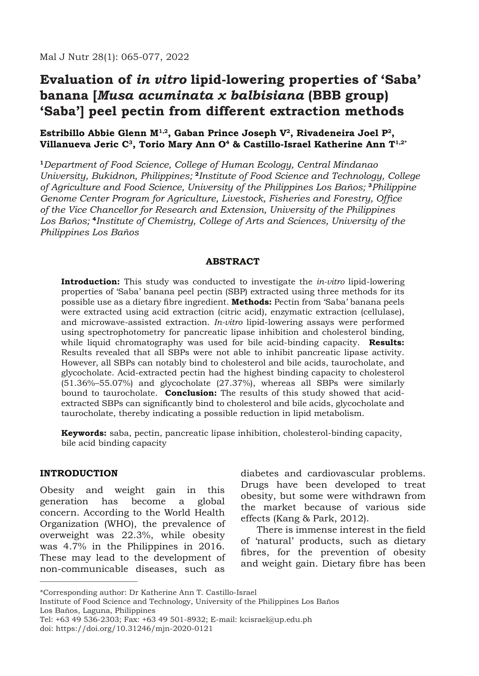# **Evaluation of** *in vitro* **lipid-lowering properties of 'Saba' banana [***Musa acuminata x balbisiana* **(BBB group) 'Saba'] peel pectin from different extraction methods**

### **Estribillo Abbie Glenn M1,2, Gaban Prince Joseph V2, Rivadeneira Joel P2, Villanueva Jeric C3, Torio Mary Ann O4 & Castillo-Israel Katherine Ann T1,2\***

**<sup>1</sup>***Department of Food Science, College of Human Ecology, Central Mindanao University, Bukidnon, Philippines;* **<sup>2</sup>***Institute of Food Science and Technology, College of Agriculture and Food Science, University of the Philippines Los Baños;* **<sup>3</sup>***Philippine Genome Center Program for Agriculture, Livestock, Fisheries and Forestry, Office of the Vice Chancellor for Research and Extension, University of the Philippines Los Baños;* **<sup>4</sup>***Institute of Chemistry, College of Arts and Sciences, University of the Philippines Los Baños*

#### **Abstract**

**Introduction:** This study was conducted to investigate the *in-vitro* lipid-lowering properties of 'Saba' banana peel pectin (SBP) extracted using three methods for its possible use as a dietary fibre ingredient. **Methods:** Pectin from 'Saba' banana peels were extracted using acid extraction (citric acid), enzymatic extraction (cellulase), and microwave-assisted extraction. *In-vitro* lipid-lowering assays were performed using spectrophotometry for pancreatic lipase inhibition and cholesterol binding, while liquid chromatography was used for bile acid-binding capacity. **Results:** Results revealed that all SBPs were not able to inhibit pancreatic lipase activity. However, all SBPs can notably bind to cholesterol and bile acids, taurocholate, and glycocholate. Acid-extracted pectin had the highest binding capacity to cholesterol (51.36%–55.07%) and glycocholate (27.37%), whereas all SBPs were similarly bound to taurocholate. **Conclusion:** The results of this study showed that acidextracted SBPs can significantly bind to cholesterol and bile acids, glycocholate and taurocholate, thereby indicating a possible reduction in lipid metabolism.

**Keywords:** saba, pectin, pancreatic lipase inhibition, cholesterol-binding capacity, bile acid binding capacity

#### **INTRODUCTION**

\_\_\_\_\_\_\_\_\_\_\_\_\_\_\_\_\_\_\_\_\_\_\_\_\_\_

Obesity and weight gain in this generation has become a global concern. According to the World Health Organization (WHO), the prevalence of overweight was 22.3%, while obesity was 4.7% in the Philippines in 2016. These may lead to the development of non-communicable diseases, such as

diabetes and cardiovascular problems. Drugs have been developed to treat obesity, but some were withdrawn from the market because of various side effects (Kang & Park, 2012).

There is immense interest in the field of 'natural' products, such as dietary fibres, for the prevention of obesity and weight gain. Dietary fibre has been

<sup>\*</sup>Corresponding author: Dr Katherine Ann T. Castillo-Israel

Institute of Food Science and Technology, University of the Philippines Los Baños Los Baños, Laguna, Philippines

Tel: +63 49 536-2303; Fax: +63 49 501-8932; E-mail: kcisrael@up.edu.ph doi: https://doi.org/10.31246/mjn-2020-0121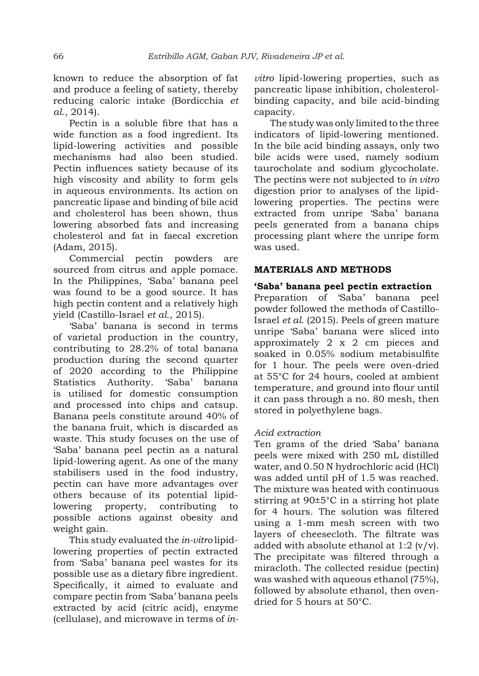known to reduce the absorption of fat and produce a feeling of satiety, thereby reducing caloric intake (Bordicchia *et al*., 2014).

Pectin is a soluble fibre that has a wide function as a food ingredient. Its lipid-lowering activities and possible mechanisms had also been studied. Pectin influences satiety because of its high viscosity and ability to form gels in aqueous environments. Its action on pancreatic lipase and binding of bile acid and cholesterol has been shown, thus lowering absorbed fats and increasing cholesterol and fat in faecal excretion (Adam, 2015).

Commercial pectin powders are sourced from citrus and apple pomace. In the Philippines, 'Saba' banana peel was found to be a good source. It has high pectin content and a relatively high yield (Castillo-Israel *et al*., 2015).

'Saba' banana is second in terms of varietal production in the country, contributing to 28.2% of total banana production during the second quarter of 2020 according to the Philippine Statistics Authority. 'Saba' banana is utilised for domestic consumption and processed into chips and catsup. Banana peels constitute around 40% of the banana fruit, which is discarded as waste. This study focuses on the use of 'Saba' banana peel pectin as a natural lipid-lowering agent. As one of the many stabilisers used in the food industry, pectin can have more advantages over others because of its potential lipidlowering property, contributing to possible actions against obesity and weight gain.

This study evaluated the *in-vitro* lipidlowering properties of pectin extracted from 'Saba' banana peel wastes for its possible use as a dietary fibre ingredient. Specifically, it aimed to evaluate and compare pectin from 'Saba' banana peels extracted by acid (citric acid), enzyme (cellulase), and microwave in terms of *in-* *vitro* lipid-lowering properties, such as pancreatic lipase inhibition, cholesterolbinding capacity, and bile acid-binding capacity.

The study was only limited to the three indicators of lipid-lowering mentioned. In the bile acid binding assays, only two bile acids were used, namely sodium taurocholate and sodium glycocholate. The pectins were not subjected to *in vitro* digestion prior to analyses of the lipidlowering properties. The pectins were extracted from unripe 'Saba' banana peels generated from a banana chips processing plant where the unripe form was used.

# **MATERIALS AND METHODS**

### **'Saba' banana peel pectin extraction**

Preparation of 'Saba' banana peel powder followed the methods of Castillo-Israel *et al*. (2015). Peels of green mature unripe 'Saba' banana were sliced into approximately 2 x 2 cm pieces and soaked in 0.05% sodium metabisulfite for 1 hour. The peels were oven-dried at 55°C for 24 hours, cooled at ambient temperature, and ground into flour until it can pass through a no. 80 mesh, then stored in polyethylene bags.

### *Acid extraction*

Ten grams of the dried 'Saba' banana peels were mixed with 250 mL distilled water, and 0.50 N hydrochloric acid (HCl) was added until pH of 1.5 was reached. The mixture was heated with continuous stirring at 90±5°C in a stirring hot plate for 4 hours. The solution was filtered using a 1-mm mesh screen with two layers of cheesecloth. The filtrate was added with absolute ethanol at  $1:2$  (v/v). The precipitate was filtered through a miracloth. The collected residue (pectin) was washed with aqueous ethanol (75%), followed by absolute ethanol, then ovendried for 5 hours at 50°C.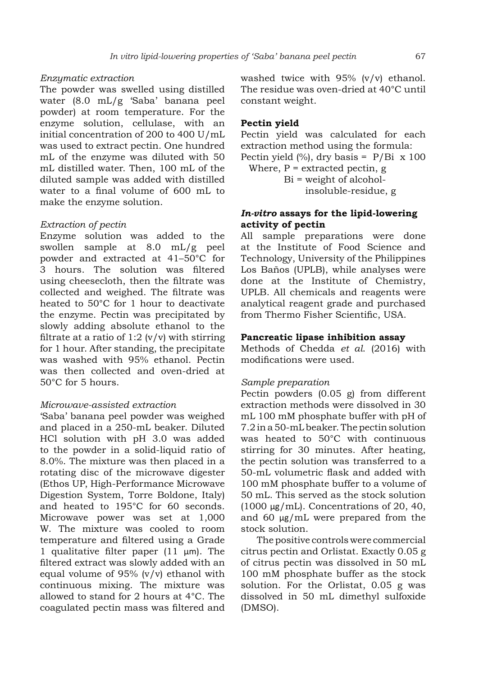### *Enzymatic extraction*

The powder was swelled using distilled water (8.0 mL/g 'Saba' banana peel powder) at room temperature. For the enzyme solution, cellulase, with an initial concentration of 200 to 400 U/mL was used to extract pectin. One hundred mL of the enzyme was diluted with 50 mL distilled water. Then, 100 mL of the diluted sample was added with distilled water to a final volume of 600 mL to make the enzyme solution.

### *Extraction of pectin*

Enzyme solution was added to the swollen sample at 8.0 mL/g peel powder and extracted at 41–50°C for 3 hours. The solution was filtered using cheesecloth, then the filtrate was collected and weighed. The filtrate was heated to 50°C for 1 hour to deactivate the enzyme. Pectin was precipitated by slowly adding absolute ethanol to the filtrate at a ratio of 1:2  $(v/v)$  with stirring for 1 hour. After standing, the precipitate was washed with 95% ethanol. Pectin was then collected and oven-dried at 50°C for 5 hours.

### *Microwave-assisted extraction*

'Saba' banana peel powder was weighed and placed in a 250-mL beaker. Diluted HCl solution with pH 3.0 was added to the powder in a solid-liquid ratio of 8.0%. The mixture was then placed in a rotating disc of the microwave digester (Ethos UP, High-Performance Microwave Digestion System, Torre Boldone, Italy) and heated to 195°C for 60 seconds. Microwave power was set at 1,000 W. The mixture was cooled to room temperature and filtered using a Grade 1 qualitative filter paper (11 μm). The filtered extract was slowly added with an equal volume of 95% (v/v) ethanol with continuous mixing. The mixture was allowed to stand for 2 hours at 4°C. The coagulated pectin mass was filtered and washed twice with 95% (v/v) ethanol. The residue was oven-dried at 40°C until constant weight.

### **Pectin yield**

Pectin yield was calculated for each extraction method using the formula: Pectin yield  $\frac{9}{6}$ , dry basis = P/Bi x 100 Where,  $P =$  extracted pectin, g  $Bi = weight of alcohol$ insoluble-residue, g

### *In-vitro* **assays for the lipid-lowering activity of pectin**

All sample preparations were done at the Institute of Food Science and Technology, University of the Philippines Los Baños (UPLB), while analyses were done at the Institute of Chemistry, UPLB. All chemicals and reagents were analytical reagent grade and purchased from Thermo Fisher Scientific, USA.

### **Pancreatic lipase inhibition assay**

Methods of Chedda *et al*. (2016) with modifications were used.

#### *Sample preparation*

Pectin powders  $(0.05 \text{ g})$  from different extraction methods were dissolved in 30 mL 100 mM phosphate buffer with pH of 7.2 in a 50-mL beaker. The pectin solution was heated to 50°C with continuous stirring for 30 minutes. After heating, the pectin solution was transferred to a 50-mL volumetric flask and added with 100 mM phosphate buffer to a volume of 50 mL. This served as the stock solution (1000  $\mu$ g/mL). Concentrations of 20, 40, and 60 μg/mL were prepared from the stock solution.

The positive controls were commercial citrus pectin and Orlistat. Exactly 0.05 g of citrus pectin was dissolved in 50 mL 100 mM phosphate buffer as the stock solution. For the Orlistat, 0.05 g was dissolved in 50 mL dimethyl sulfoxide (DMSO).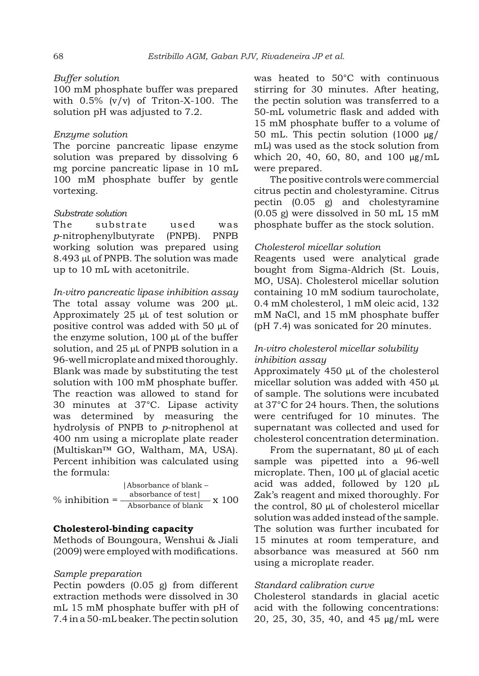#### *Buffer solution*

100 mM phosphate buffer was prepared with 0.5% (v/v) of Triton-X-100. The solution pH was adjusted to 7.2.

#### *Enzyme solution*

The porcine pancreatic lipase enzyme solution was prepared by dissolving 6 mg porcine pancreatic lipase in 10 mL 100 mM phosphate buffer by gentle vortexing.

#### *Substrate solution*

The substrate used was *p*-nitrophenylbutyrate (PNPB). PNPB working solution was prepared using 8.493 μL of PNPB. The solution was made up to 10 mL with acetonitrile.

#### *In-vitro pancreatic lipase inhibition assay*

The total assay volume was 200 μL. Approximately 25 μL of test solution or positive control was added with 50 μL of the enzyme solution, 100 μL of the buffer solution, and 25 μL of PNPB solution in a 96-well microplate and mixed thoroughly. Blank was made by substituting the test solution with 100 mM phosphate buffer. The reaction was allowed to stand for 30 minutes at 37°C. Lipase activity was determined by measuring the hydrolysis of PNPB to *p*-nitrophenol at 400 nm using a microplate plate reader (Multiskan™ GO, Waltham, MA, USA). Percent inhibition was calculated using the formula:

 $%$  inhibition = |Absorbance of blank – absorbance of test|  $\frac{1}{\text{Absorbance of blank}}$  x 100

### **Cholesterol-binding capacity**

Methods of Boungoura, Wenshui & Jiali (2009) were employed with modifications.

### *Sample preparation*

Pectin powders  $(0.05 \text{ g})$  from different extraction methods were dissolved in 30 mL 15 mM phosphate buffer with pH of 7.4 in a 50-mL beaker. The pectin solution was heated to 50°C with continuous stirring for 30 minutes. After heating, the pectin solution was transferred to a 50-mL volumetric flask and added with 15 mM phosphate buffer to a volume of 50 mL. This pectin solution (1000 μg/ mL) was used as the stock solution from which 20, 40, 60, 80, and 100 μg/mL were prepared.

The positive controls were commercial citrus pectin and cholestyramine. Citrus pectin (0.05 g) and cholestyramine (0.05 g) were dissolved in 50 mL 15 mM phosphate buffer as the stock solution.

#### *Cholesterol micellar solution*

Reagents used were analytical grade bought from Sigma-Aldrich (St. Louis, MO, USA). Cholesterol micellar solution containing 10 mM sodium taurocholate, 0.4 mM cholesterol, 1 mM oleic acid, 132 mM NaCl, and 15 mM phosphate buffer (pH 7.4) was sonicated for 20 minutes.

### *In-vitro cholesterol micellar solubility inhibition assay*

Approximately 450 μL of the cholesterol micellar solution was added with 450 μL of sample. The solutions were incubated at 37°C for 24 hours. Then, the solutions were centrifuged for 10 minutes. The supernatant was collected and used for cholesterol concentration determination.

From the supernatant, 80 μL of each sample was pipetted into a 96-well microplate. Then, 100 μL of glacial acetic acid was added, followed by 120 μL Zak's reagent and mixed thoroughly. For the control, 80 μL of cholesterol micellar solution was added instead of the sample. The solution was further incubated for 15 minutes at room temperature, and absorbance was measured at 560 nm using a microplate reader.

### *Standard calibration curve*

Cholesterol standards in glacial acetic acid with the following concentrations: 20, 25, 30, 35, 40, and 45 μg/mL were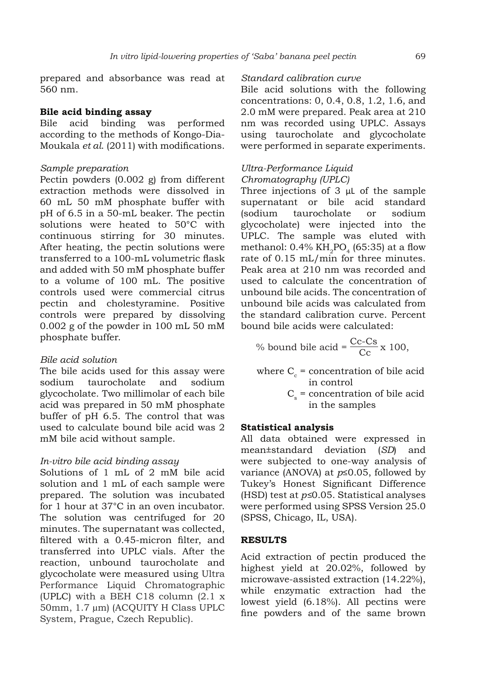prepared and absorbance was read at 560 nm.

### **Bile acid binding assay**

Bile acid binding was performed according to the methods of Kongo-Dia-Moukala *et al*. (2011) with modifications.

#### *Sample preparation*

Pectin powders (0.002 g) from different extraction methods were dissolved in 60 mL 50 mM phosphate buffer with pH of 6.5 in a 50-mL beaker. The pectin solutions were heated to 50°C with continuous stirring for 30 minutes. After heating, the pectin solutions were transferred to a 100-mL volumetric flask and added with 50 mM phosphate buffer to a volume of 100 mL. The positive controls used were commercial citrus pectin and cholestyramine. Positive controls were prepared by dissolving 0.002 g of the powder in 100 mL 50 mM phosphate buffer.

#### *Bile acid solution*

The bile acids used for this assay were sodium taurocholate and sodium glycocholate. Two millimolar of each bile acid was prepared in 50 mM phosphate buffer of pH 6.5. The control that was used to calculate bound bile acid was 2 mM bile acid without sample.

### *In-vitro bile acid binding assay*

Solutions of 1 mL of 2 mM bile acid solution and 1 mL of each sample were prepared. The solution was incubated for 1 hour at 37°C in an oven incubator. The solution was centrifuged for 20 minutes. The supernatant was collected, filtered with a 0.45-micron filter, and transferred into UPLC vials. After the reaction, unbound taurocholate and glycocholate were measured using Ultra Performance Liquid Chromatographic (UPLC) with a BEH C18 column (2.1 x 50mm, 1.7 µm) (ACQUITY H Class UPLC System, Prague, Czech Republic).

### *Standard calibration curve*

Bile acid solutions with the following concentrations: 0, 0.4, 0.8, 1.2, 1.6, and 2.0 mM were prepared. Peak area at 210 nm was recorded using UPLC. Assays using taurocholate and glycocholate were performed in separate experiments.

### *Ultra-Performance Liquid Chromatography (UPLC)*

Three injections of 3 μL of the sample supernatant or bile acid standard (sodium taurocholate or sodium glycocholate) were injected into the UPLC. The sample was eluted with methanol:  $0.4\%$  KH<sub>2</sub>PO<sub>4</sub> (65:35) at a flow rate of 0.15 mL/min for three minutes. Peak area at 210 nm was recorded and used to calculate the concentration of unbound bile acids. The concentration of unbound bile acids was calculated from the standard calibration curve. Percent bound bile acids were calculated:

% bound bile acid = 
$$
\frac{Cc-Cs}{Cc} \times 100
$$
,

- where  $C_c$  = concentration of bile acid in control
	- $C_s$  = concentration of bile acid in the samples

#### **Statistical analysis**

All data obtained were expressed in mean±standard deviation (*SD*) and were subjected to one-way analysis of variance (ANOVA) at *p*≤0.05, followed by Tukey's Honest Significant Difference (HSD) test at *p≤*0.05. Statistical analyses were performed using SPSS Version 25.0 (SPSS, Chicago, IL, USA).

### **RESULTS**

Acid extraction of pectin produced the highest yield at 20.02%, followed by microwave-assisted extraction (14.22%), while enzymatic extraction had the lowest yield (6.18%). All pectins were fine powders and of the same brown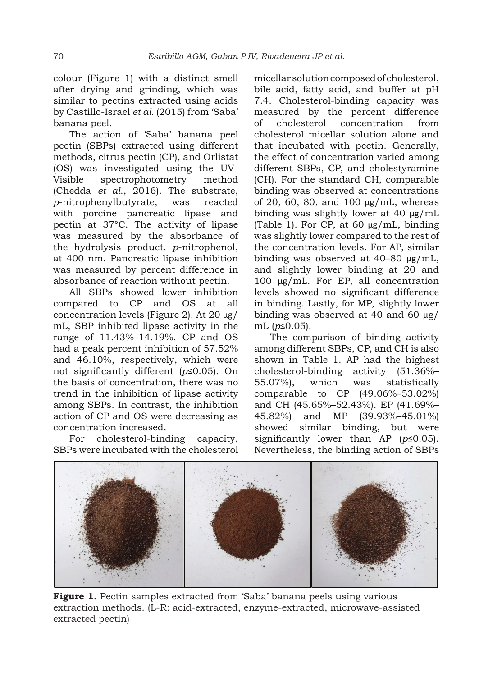colour (Figure 1) with a distinct smell after drying and grinding, which was similar to pectins extracted using acids by Castillo-Israel *et al.* (2015) from 'Saba' banana peel.

The action of 'Saba' banana peel pectin (SBPs) extracted using different methods, citrus pectin (CP), and Orlistat (OS) was investigated using the UV-Visible spectrophotometry method (Chedda *et al*., 2016). The substrate, *p*-nitrophenylbutyrate, was reacted with porcine pancreatic lipase and pectin at 37°C. The activity of lipase was measured by the absorbance of the hydrolysis product, *p*-nitrophenol, at 400 nm. Pancreatic lipase inhibition was measured by percent difference in absorbance of reaction without pectin.

All SBPs showed lower inhibition compared to CP and OS at all concentration levels (Figure 2). At 20 μg/ mL, SBP inhibited lipase activity in the range of 11.43%–14.19%. CP and OS had a peak percent inhibition of 57.52% and 46.10%, respectively, which were not significantly different (*p*≤0.05). On the basis of concentration, there was no trend in the inhibition of lipase activity among SBPs. In contrast, the inhibition action of CP and OS were decreasing as concentration increased.

For cholesterol-binding capacity, SBPs were incubated with the cholesterol micellar solution composed of cholesterol, bile acid, fatty acid, and buffer at pH 7.4. Cholesterol-binding capacity was measured by the percent difference of cholesterol concentration from cholesterol micellar solution alone and that incubated with pectin. Generally, the effect of concentration varied among different SBPs, CP, and cholestyramine (CH). For the standard CH, comparable binding was observed at concentrations of 20, 60, 80, and 100 μg/mL, whereas binding was slightly lower at 40 μg/mL (Table 1). For CP, at 60 μg/mL, binding was slightly lower compared to the rest of the concentration levels. For AP, similar binding was observed at 40–80 μg/mL, and slightly lower binding at 20 and 100 μg/mL. For EP, all concentration levels showed no significant difference in binding. Lastly, for MP, slightly lower binding was observed at 40 and 60 μg/ mL (*p*≤0.05).

The comparison of binding activity among different SBPs, CP, and CH is also shown in Table 1. AP had the highest cholesterol-binding activity (51.36%– 55.07%), which was statistically comparable to CP (49.06%–53.02%) and CH (45.65%–52.43%). EP (41.69%– 45.82%) and MP (39.93%–45.01%) showed similar binding, but were significantly lower than AP (*p*≤0.05). Nevertheless, the binding action of SBPs



**Figure 1.** Pectin samples extracted from 'Saba' banana peels using various extraction methods. (L-R: acid-extracted, enzyme-extracted, microwave-assisted extracted pectin)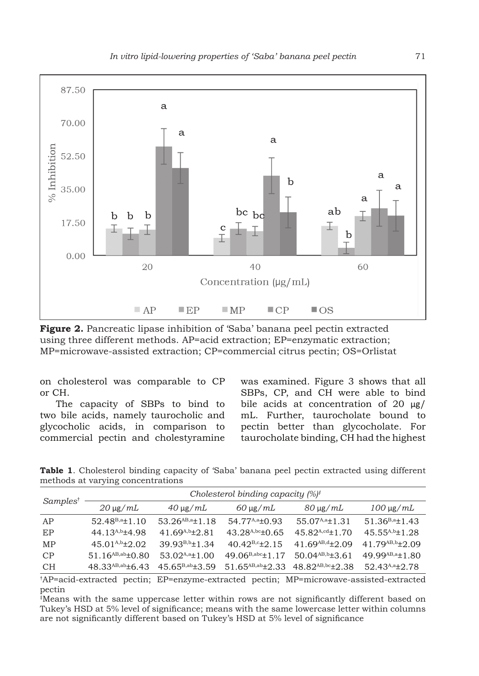

**Figure 2.** Pancreatic lipase inhibition of 'Saba' banana peel pectin extracted using three different methods. AP=acid extraction; EP=enzymatic extraction; MP=microwave-assisted extraction; CP=commercial citrus pectin; OS=Orlistat

on cholesterol was comparable to CP or CH.

The capacity of SBPs to bind to two bile acids, namely taurocholic and glycocholic acids, in comparison to commercial pectin and cholestyramine was examined. Figure 3 shows that all SBPs, CP, and CH were able to bind bile acids at concentration of 20 μg/ mL. Further, taurocholate bound to pectin better than glycocholate. For taurocholate binding, CH had the highest

**Table 1**. Cholesterol binding capacity of 'Saba' banana peel pectin extracted using different methods at varying concentrations

| Samples <sup>†</sup> | Cholesterol binding capacity $(%)^{\dagger}$ |                         |                                             |                         |                         |
|----------------------|----------------------------------------------|-------------------------|---------------------------------------------|-------------------------|-------------------------|
|                      | $20 \mu g/mL$                                | $40 \mu g/mL$           | $60 \mu g/mL$                               | $80 \mu g/mL$           | $100 \mu$ g/mL          |
| AP                   | $52.48B,a \pm 1.10$                          | $53.26^{AB,a} \pm 1.18$ | 54.77 <sup>A,a</sup> $\pm$ 0.93             | $55.07^{A,a}$ ±1.31     | $51.36^{B,a} \pm 1.43$  |
| EP                   | 44.13 <sup>A,b</sup> $\pm$ 4.98              | 41.69 $A$ , 69 $A$ , 61 | 43.28 <sup>A,bc</sup> $\pm$ 0.65            | $45.82^{A,cd}$ ±1.70    | $45.55^{A,b}$ ±1.28     |
| MP                   | $45.01^{A,b} \pm 2.02$                       | $39.93^{B,b} \pm 1.34$  | $40.42^{B,c} \pm 2.15$                      | 41.69 $^{AB,d}$ ±2.09   | $41.79^{AB,b} \pm 2.09$ |
| CP                   | 51.16 <sup>AB,ab</sup> $\pm$ 0.80            | $53.02^{A,a} \pm 1.00$  | 49.06 <sup>B,abc</sup> $\pm$ 1.17           | $50.04^{AB,b} \pm 3.61$ | 49.99 $AB, a \pm 1.80$  |
| <b>CH</b>            | 48.33 $AB,ab + 6$ 43                         | $45.65^{B,ab} \pm 3.59$ | 51.65AB,ab $\pm$ 2.33 48.82AB,bc $\pm$ 2.38 |                         | 52.43 $A$ , $a+2$ , 78  |

† AP=acid-extracted pectin; EP=enzyme-extracted pectin; MP=microwave-assisted-extracted pectin

‡ Means with the same uppercase letter within rows are not significantly different based on Tukey's HSD at 5% level of significance; means with the same lowercase letter within columns are not significantly different based on Tukey's HSD at 5% level of significance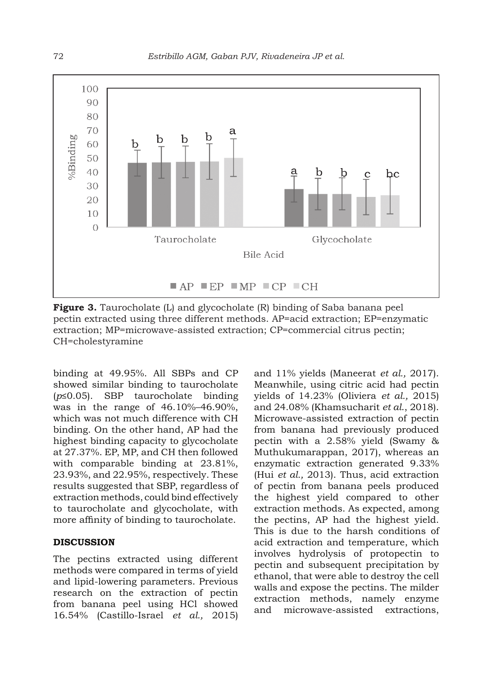

**Figure 3.** Taurocholate (L) and glycocholate (R) binding of Saba banana peel pectin extracted using three different methods. AP=acid extraction; EP=enzymatic extraction; MP=microwave-assisted extraction; CP=commercial citrus pectin; CH=cholestyramine

binding at 49.95%. All SBPs and CP showed similar binding to taurocholate (*p*≤0.05). SBP taurocholate binding was in the range of 46.10%–46.90%, which was not much difference with CH binding. On the other hand, AP had the highest binding capacity to glycocholate at 27.37%. EP, MP, and CH then followed with comparable binding at 23.81%, 23.93%, and 22.95%, respectively. These results suggested that SBP, regardless of extraction methods, could bind effectively to taurocholate and glycocholate, with more affinity of binding to taurocholate.

#### **DISCUSSION**

The pectins extracted using different methods were compared in terms of yield and lipid-lowering parameters. Previous research on the extraction of pectin from banana peel using HCl showed 16.54% (Castillo-Israel *et al.,* 2015) and 11% yields (Maneerat *et al.,* 2017). Meanwhile, using citric acid had pectin yields of 14.23% (Oliviera *et al.,* 2015) and 24.08% (Khamsucharit *et al*., 2018). Microwave-assisted extraction of pectin from banana had previously produced pectin with a 2.58% yield (Swamy & Muthukumarappan, 2017), whereas an enzymatic extraction generated 9.33% (Hui *et al.,* 2013). Thus, acid extraction of pectin from banana peels produced the highest yield compared to other extraction methods. As expected, among the pectins, AP had the highest yield. This is due to the harsh conditions of acid extraction and temperature, which involves hydrolysis of protopectin to pectin and subsequent precipitation by ethanol, that were able to destroy the cell walls and expose the pectins. The milder extraction methods, namely enzyme and microwave-assisted extractions,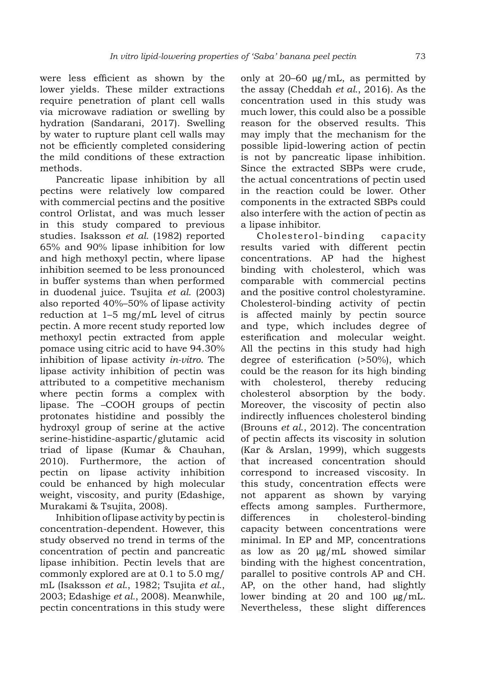were less efficient as shown by the lower yields. These milder extractions require penetration of plant cell walls via microwave radiation or swelling by hydration (Sandarani, 2017). Swelling by water to rupture plant cell walls may not be efficiently completed considering the mild conditions of these extraction methods.

Pancreatic lipase inhibition by all pectins were relatively low compared with commercial pectins and the positive control Orlistat, and was much lesser in this study compared to previous studies. Isaksson *et al.* (1982) reported 65% and 90% lipase inhibition for low and high methoxyl pectin, where lipase inhibition seemed to be less pronounced in buffer systems than when performed in duodenal juice. Tsujita *et al.* (2003) also reported 40%–50% of lipase activity reduction at 1–5 mg/mL level of citrus pectin. A more recent study reported low methoxyl pectin extracted from apple pomace using citric acid to have 94.30% inhibition of lipase activity *in-vitro*. The lipase activity inhibition of pectin was attributed to a competitive mechanism where pectin forms a complex with lipase. The –COOH groups of pectin protonates histidine and possibly the hydroxyl group of serine at the active serine-histidine-aspartic/glutamic acid triad of lipase (Kumar & Chauhan, 2010). Furthermore, the action of pectin on lipase activity inhibition could be enhanced by high molecular weight, viscosity, and purity (Edashige, Murakami & Tsujita, 2008).

Inhibition of lipase activity by pectin is concentration-dependent. However, this study observed no trend in terms of the concentration of pectin and pancreatic lipase inhibition. Pectin levels that are commonly explored are at 0.1 to 5.0 mg/ mL (Isaksson *et al.*, 1982; Tsujita *et al.*, 2003; Edashige *et al.*, 2008). Meanwhile, pectin concentrations in this study were only at  $20-60 \mu g/mL$ , as permitted by the assay (Cheddah *et al.*, 2016). As the concentration used in this study was much lower, this could also be a possible reason for the observed results. This may imply that the mechanism for the possible lipid-lowering action of pectin is not by pancreatic lipase inhibition. Since the extracted SBPs were crude, the actual concentrations of pectin used in the reaction could be lower. Other components in the extracted SBPs could also interfere with the action of pectin as a lipase inhibitor.

Cholesterol-binding capacity results varied with different pectin concentrations. AP had the highest binding with cholesterol, which was comparable with commercial pectins and the positive control cholestyramine. Cholesterol-binding activity of pectin is affected mainly by pectin source and type, which includes degree of esterification and molecular weight. All the pectins in this study had high degree of esterification (>50%), which could be the reason for its high binding with cholesterol, thereby reducing cholesterol absorption by the body. Moreover, the viscosity of pectin also indirectly influences cholesterol binding (Brouns *et al*., 2012). The concentration of pectin affects its viscosity in solution (Kar & Arslan, 1999), which suggests that increased concentration should correspond to increased viscosity. In this study, concentration effects were not apparent as shown by varying effects among samples. Furthermore, differences in cholesterol-binding capacity between concentrations were minimal. In EP and MP, concentrations as low as 20 μg/mL showed similar binding with the highest concentration, parallel to positive controls AP and CH. AP, on the other hand, had slightly lower binding at 20 and 100 μg/mL. Nevertheless, these slight differences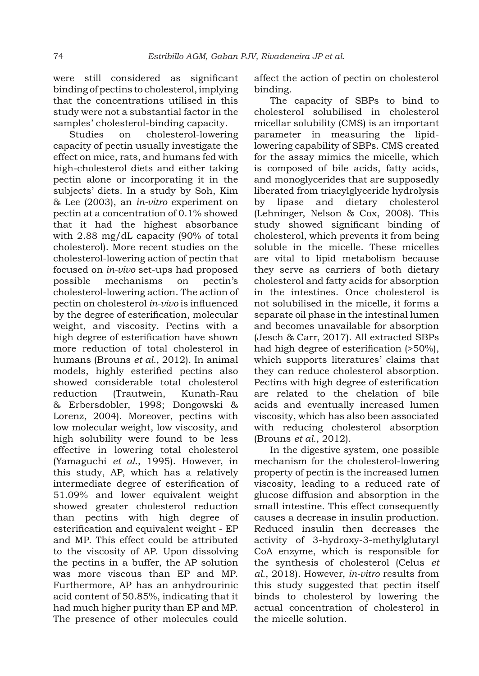were still considered as significant binding of pectins to cholesterol, implying that the concentrations utilised in this study were not a substantial factor in the samples' cholesterol-binding capacity.

Studies on cholesterol-lowering capacity of pectin usually investigate the effect on mice, rats, and humans fed with high-cholesterol diets and either taking pectin alone or incorporating it in the subjects' diets. In a study by Soh, Kim & Lee (2003), an *in-vitro* experiment on pectin at a concentration of 0.1% showed that it had the highest absorbance with 2.88 mg/dL capacity (90% of total cholesterol). More recent studies on the cholesterol-lowering action of pectin that focused on *in-vivo* set-ups had proposed possible mechanisms on pectin's cholesterol-lowering action. The action of pectin on cholesterol *in-vivo* is influenced by the degree of esterification, molecular weight, and viscosity. Pectins with a high degree of esterification have shown more reduction of total cholesterol in humans (Brouns *et al.*, 2012). In animal models, highly esterified pectins also showed considerable total cholesterol reduction (Trautwein, Kunath-Rau & Erbersdobler, 1998; Dongowski & Lorenz, 2004). Moreover, pectins with low molecular weight, low viscosity, and high solubility were found to be less effective in lowering total cholesterol (Yamaguchi *et al.*, 1995). However, in this study, AP, which has a relatively intermediate degree of esterification of 51.09% and lower equivalent weight showed greater cholesterol reduction than pectins with high degree of esterification and equivalent weight - EP and MP. This effect could be attributed to the viscosity of AP. Upon dissolving the pectins in a buffer, the AP solution was more viscous than EP and MP. Furthermore, AP has an anhydrourinic acid content of 50.85%, indicating that it had much higher purity than EP and MP. The presence of other molecules could affect the action of pectin on cholesterol binding.

The capacity of SBPs to bind to cholesterol solubilised in cholesterol micellar solubility (CMS) is an important parameter in measuring the lipidlowering capability of SBPs. CMS created for the assay mimics the micelle, which is composed of bile acids, fatty acids, and monoglycerides that are supposedly liberated from triacylglyceride hydrolysis by lipase and dietary cholesterol (Lehninger, Nelson & Cox, 2008). This study showed significant binding of cholesterol, which prevents it from being soluble in the micelle. These micelles are vital to lipid metabolism because they serve as carriers of both dietary cholesterol and fatty acids for absorption in the intestines. Once cholesterol is not solubilised in the micelle, it forms a separate oil phase in the intestinal lumen and becomes unavailable for absorption (Jesch & Carr, 2017). All extracted SBPs had high degree of esterification (>50%), which supports literatures' claims that they can reduce cholesterol absorption. Pectins with high degree of esterification are related to the chelation of bile acids and eventually increased lumen viscosity, which has also been associated with reducing cholesterol absorption (Brouns *et al.*, 2012).

In the digestive system, one possible mechanism for the cholesterol-lowering property of pectin is the increased lumen viscosity, leading to a reduced rate of glucose diffusion and absorption in the small intestine. This effect consequently causes a decrease in insulin production. Reduced insulin then decreases the activity of 3-hydroxy-3-methylglutaryl CoA enzyme, which is responsible for the synthesis of cholesterol (Celus *et al.*, 2018). However, *in-vitro* results from this study suggested that pectin itself binds to cholesterol by lowering the actual concentration of cholesterol in the micelle solution.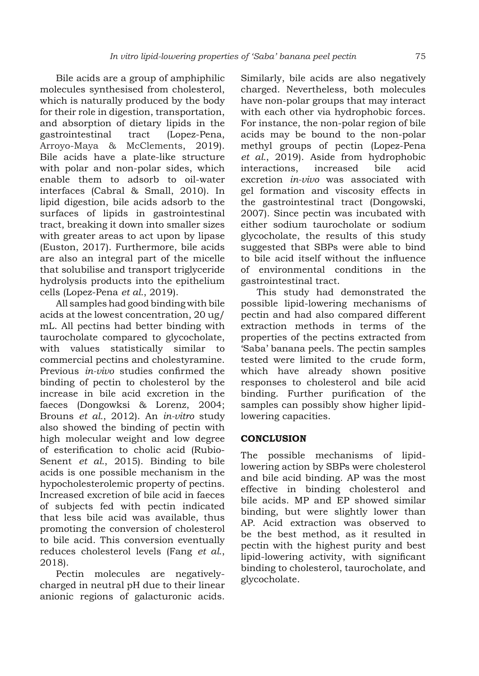Bile acids are a group of amphiphilic molecules synthesised from cholesterol, which is naturally produced by the body for their role in digestion, transportation, and absorption of dietary lipids in the gastrointestinal tract (Lopez-Pena, Arroyo-Maya & McClements, 2019). Bile acids have a plate-like structure with polar and non-polar sides, which enable them to adsorb to oil-water interfaces (Cabral & Small, 2010). In lipid digestion, bile acids adsorb to the surfaces of lipids in gastrointestinal tract, breaking it down into smaller sizes with greater areas to act upon by lipase (Euston, 2017). Furthermore, bile acids are also an integral part of the micelle that solubilise and transport triglyceride hydrolysis products into the epithelium cells (Lopez-Pena *et al.*, 2019).

All samples had good binding with bile acids at the lowest concentration, 20 ug/ mL. All pectins had better binding with taurocholate compared to glycocholate, with values statistically similar to commercial pectins and cholestyramine. Previous *in-vivo* studies confirmed the binding of pectin to cholesterol by the increase in bile acid excretion in the faeces (Dongowksi & Lorenz, 2004; Brouns *et al.*, 2012). An *in-vitro* study also showed the binding of pectin with high molecular weight and low degree of esterification to cholic acid (Rubio-Senent *et al.*, 2015). Binding to bile acids is one possible mechanism in the hypocholesterolemic property of pectins. Increased excretion of bile acid in faeces of subjects fed with pectin indicated that less bile acid was available, thus promoting the conversion of cholesterol to bile acid. This conversion eventually reduces cholesterol levels (Fang *et al.*, 2018).

Pectin molecules are negativelycharged in neutral pH due to their linear anionic regions of galacturonic acids.

Similarly, bile acids are also negatively charged. Nevertheless, both molecules have non-polar groups that may interact with each other via hydrophobic forces. For instance, the non-polar region of bile acids may be bound to the non-polar methyl groups of pectin (Lopez-Pena *et al.*, 2019). Aside from hydrophobic interactions, increased bile acid excretion *in-vivo* was associated with gel formation and viscosity effects in the gastrointestinal tract (Dongowski, 2007). Since pectin was incubated with either sodium taurocholate or sodium glycocholate, the results of this study suggested that SBPs were able to bind to bile acid itself without the influence of environmental conditions in the gastrointestinal tract.

This study had demonstrated the possible lipid-lowering mechanisms of pectin and had also compared different extraction methods in terms of the properties of the pectins extracted from 'Saba' banana peels. The pectin samples tested were limited to the crude form, which have already shown positive responses to cholesterol and bile acid binding. Further purification of the samples can possibly show higher lipidlowering capacities.

# **CONCLUSION**

The possible mechanisms of lipidlowering action by SBPs were cholesterol and bile acid binding. AP was the most effective in binding cholesterol and bile acids. MP and EP showed similar binding, but were slightly lower than AP. Acid extraction was observed to be the best method, as it resulted in pectin with the highest purity and best lipid-lowering activity, with significant binding to cholesterol, taurocholate, and glycocholate.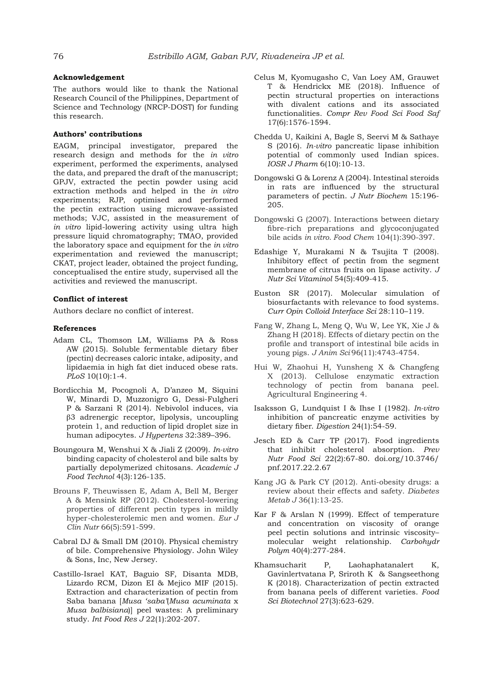#### **Acknowledgement**

The authors would like to thank the National Research Council of the Philippines, Department of Science and Technology (NRCP-DOST) for funding this research.

#### **Authors' contributions**

EAGM, principal investigator, prepared the research design and methods for the *in vitro* experiment, performed the experiments, analysed the data, and prepared the draft of the manuscript; GPJV, extracted the pectin powder using acid extraction methods and helped in the *in vitro* experiments; RJP, optimised and performed the pectin extraction using microwave-assisted methods; VJC, assisted in the measurement of *in vitro* lipid-lowering activity using ultra high pressure liquid chromatography; TMAO, provided the laboratory space and equipment for the *in vitro* experimentation and reviewed the manuscript; CKAT, project leader, obtained the project funding, conceptualised the entire study, supervised all the activities and reviewed the manuscript.

#### **Conflict of interest**

Authors declare no conflict of interest.

#### **References**

- Adam CL, Thomson LM, Williams PA & Ross AW (2015). Soluble fermentable dietary fiber (pectin) decreases caloric intake, adiposity, and lipidaemia in high fat diet induced obese rats. *PLoS* 10(10):1-4.
- Bordicchia M, Pocognoli A, D'anzeo M, Siquini W, Minardi D, Muzzonigro G, Dessì-Fulgheri P & Sarzani R (2014). Nebivolol induces, via β3 adrenergic receptor, lipolysis, uncoupling protein 1, and reduction of lipid droplet size in human adipocytes. *J Hypertens* 32:389–396.
- Boungoura M, Wenshui X & Jiali Z (2009). *In-vitro* binding capacity of cholesterol and bile salts by partially depolymerized chitosans. *Academic J Food Technol* 4(3):126-135.
- Brouns F, Theuwissen E, Adam A, Bell M, Berger A & Mensink RP (2012). Cholesterol-lowering properties of different pectin types in mildly hyper-cholesterolemic men and women. *Eur J Clin Nutr* 66(5):591-599.
- Cabral DJ & Small DM (2010). Physical chemistry of bile. Comprehensive Physiology. John Wiley & Sons, Inc, New Jersey.
- Castillo-Israel KAT, Baguio SF, Disanta MDB, Lizardo RCM, Dizon EI & Mejico MIF (2015). Extraction and characterization of pectin from Saba banana [*Musa 'saba'*(*Musa acuminata* x *Musa balbisiana*)] peel wastes: A preliminary study. *Int Food Res J* 22(1):202-207.
- Celus M, Kyomugasho C, Van Loey AM, Grauwet T & Hendrickx ME (2018). Influence of pectin structural properties on interactions with divalent cations and its associated functionalities. *Compr Rev Food Sci Food Saf* 17(6):1576-1594.
- Chedda U, Kaikini A, Bagle S, Seervi M & Sathaye S (2016). *In-vitro* pancreatic lipase inhibition potential of commonly used Indian spices. *IOSR J Pharm* 6(10):10-13.
- Dongowski G & Lorenz A (2004). Intestinal steroids in rats are influenced by the structural parameters of pectin. *J Nutr Biochem* 15:196- 205.
- Dongowski G (2007). Interactions between dietary fibre-rich preparations and glycoconjugated bile acids *in vitro*. *Food Chem* 104(1):390-397.
- Edashige Y, Murakami N & Tsujita T (2008). Inhibitory effect of pectin from the segment membrane of citrus fruits on lipase activity. *J Nutr Sci Vitaminol* 54(5):409-415.
- Euston SR (2017). Molecular simulation of biosurfactants with relevance to food systems. *Curr Opin Colloid Interface Sci* 28:110–119.
- Fang W, Zhang L, Meng Q, Wu W, Lee YK, Xie J & Zhang H (2018). Effects of dietary pectin on the profile and transport of intestinal bile acids in young pigs. *J Anim Sci* 96(11):4743-4754.
- Hui W, Zhaohui H, Yunsheng X & Changfeng X (2013). Cellulose enzymatic extraction technology of pectin from banana peel. Agricultural Engineering 4.
- Isaksson G, Lundquist I & Ihse I (1982). *In-vitro* inhibition of pancreatic enzyme activities by dietary fiber. *Digestion* 24(1):54-59.
- Jesch ED & Carr TP (2017). Food ingredients that inhibit cholesterol absorption. *Prev Nutr Food Sci* 22(2):67-80. doi.org/10.3746/ pnf.2017.22.2.67
- Kang JG & Park CY (2012). Anti-obesity drugs: a review about their effects and safety. *Diabetes Metab J* 36(1):13-25.
- Kar F & Arslan N (1999). Effect of temperature and concentration on viscosity of orange peel pectin solutions and intrinsic viscosity– molecular weight relationship. *Carbohydr Polym* 40(4):277-284.
- Khamsucharit P, Laohaphatanalert K, Gavinlertvatana P, Sriroth K & Sangseethong K (2018). Characterization of pectin extracted from banana peels of different varieties. *Food Sci Biotechnol* 27(3):623-629.